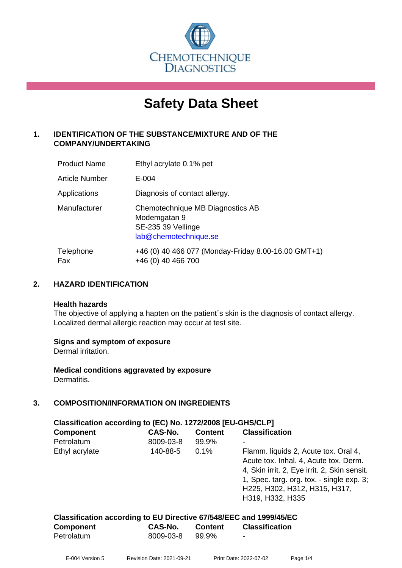

# **Safety Data Sheet**

#### **1. IDENTIFICATION OF THE SUBSTANCE/MIXTURE AND OF THE COMPANY/UNDERTAKING**

| <b>Product Name</b> | Ethyl acrylate 0.1% pet                                                                         |
|---------------------|-------------------------------------------------------------------------------------------------|
| Article Number      | $E - 004$                                                                                       |
| Applications        | Diagnosis of contact allergy.                                                                   |
| Manufacturer        | Chemotechnique MB Diagnostics AB<br>Modemgatan 9<br>SE-235 39 Vellinge<br>lab@chemotechnique.se |
| Telephone<br>Fax    | +46 (0) 40 466 077 (Monday-Friday 8.00-16.00 GMT+1)<br>+46 (0) 40 466 700                       |

#### **2. HAZARD IDENTIFICATION**

#### **Health hazards**

The objective of applying a hapten on the patient's skin is the diagnosis of contact allergy. Localized dermal allergic reaction may occur at test site.

#### **Signs and symptom of exposure**

Dermal irritation.

**Medical conditions aggravated by exposure** Dermatitis.

#### **3. COMPOSITION/INFORMATION ON INGREDIENTS**

| Classification according to (EC) No. 1272/2008 [EU-GHS/CLP] |           |                |                                                                                                                                                                                                                                 |  |
|-------------------------------------------------------------|-----------|----------------|---------------------------------------------------------------------------------------------------------------------------------------------------------------------------------------------------------------------------------|--|
| <b>Component</b>                                            | CAS-No.   | <b>Content</b> | <b>Classification</b>                                                                                                                                                                                                           |  |
| Petrolatum                                                  | 8009-03-8 | 99.9%          |                                                                                                                                                                                                                                 |  |
| Ethyl acrylate                                              | 140-88-5  | $0.1\%$        | Flamm. liquids 2, Acute tox. Oral 4,<br>Acute tox. Inhal. 4, Acute tox. Derm.<br>4, Skin irrit. 2, Eye irrit. 2, Skin sensit.<br>1, Spec. targ. org. tox. - single exp. 3;<br>H225, H302, H312, H315, H317,<br>H319, H332, H335 |  |

| Classification according to EU Directive 67/548/EEC and 1999/45/EC |           |         |                       |
|--------------------------------------------------------------------|-----------|---------|-----------------------|
| <b>Component</b>                                                   | CAS-No.   | Content | <b>Classification</b> |
| Petrolatum                                                         | 8009-03-8 | 99.9%   |                       |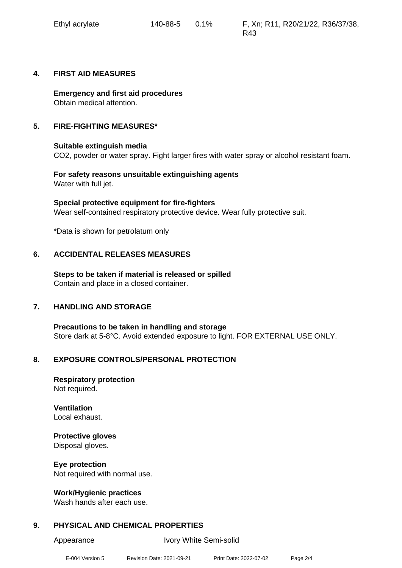#### **4. FIRST AID MEASURES**

**Emergency and first aid procedures** Obtain medical attention.

#### **5. FIRE-FIGHTING MEASURES\***

#### **Suitable extinguish media**

CO2, powder or water spray. Fight larger fires with water spray or alcohol resistant foam.

**For safety reasons unsuitable extinguishing agents** Water with full jet.

**Special protective equipment for fire-fighters** Wear self-contained respiratory protective device. Wear fully protective suit.

\*Data is shown for petrolatum only

#### **6. ACCIDENTAL RELEASES MEASURES**

**Steps to be taken if material is released or spilled** Contain and place in a closed container.

#### **7. HANDLING AND STORAGE**

**Precautions to be taken in handling and storage** Store dark at 5-8°C. Avoid extended exposure to light. FOR EXTERNAL USE ONLY.

#### **8. EXPOSURE CONTROLS/PERSONAL PROTECTION**

**Respiratory protection** Not required.

**Ventilation** Local exhaust.

## **Protective gloves**

Disposal gloves.

**Eye protection** Not required with normal use.

#### **Work/Hygienic practices**

Wash hands after each use.

#### **9. PHYSICAL AND CHEMICAL PROPERTIES**

Appearance Ivory White Semi-solid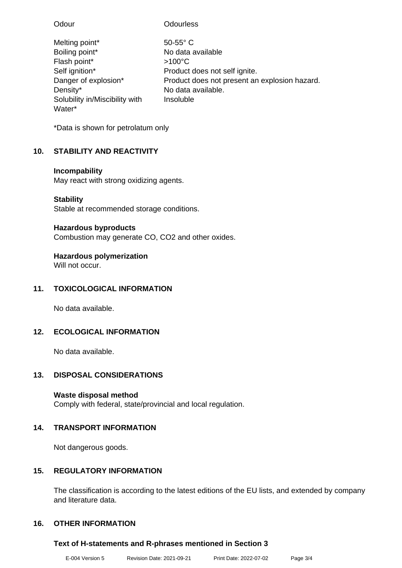| Odour                          | <b>Odourless</b>                              |
|--------------------------------|-----------------------------------------------|
| Melting point*                 | $50-55$ °C                                    |
| Boiling point*                 | No data available                             |
| Flash point*                   | $>100^{\circ}$ C                              |
| Self ignition*                 | Product does not self ignite.                 |
| Danger of explosion*           | Product does not present an explosion hazard. |
| Density*                       | No data available.                            |
| Solubility in/Miscibility with | Insoluble                                     |
| Water*                         |                                               |

\*Data is shown for petrolatum only

### **10. STABILITY AND REACTIVITY**

#### **Incompability**

May react with strong oxidizing agents.

### **Stability**

Stable at recommended storage conditions.

### **Hazardous byproducts**

Combustion may generate CO, CO2 and other oxides.

### **Hazardous polymerization**

Will not occur.

### **11. TOXICOLOGICAL INFORMATION**

No data available.

### **12. ECOLOGICAL INFORMATION**

No data available.

### **13. DISPOSAL CONSIDERATIONS**

### **Waste disposal method**

Comply with federal, state/provincial and local regulation.

### **14. TRANSPORT INFORMATION**

Not dangerous goods.

### **15. REGULATORY INFORMATION**

The classification is according to the latest editions of the EU lists, and extended by company and literature data.

### **16. OTHER INFORMATION**

### **Text of H-statements and R-phrases mentioned in Section 3**